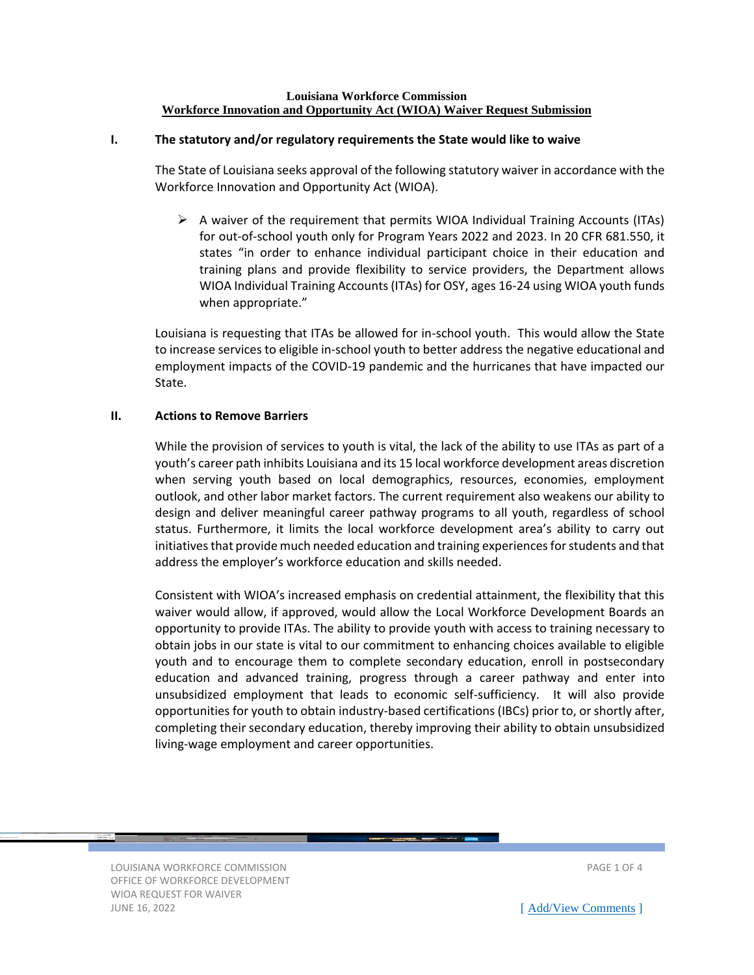#### **Louisiana Workforce Commission Workforce Innovation and Opportunity Act (WIOA) Waiver Request Submission**

### **I. The statutory and/or regulatory requirements the State would like to waive**

The State of Louisiana seeks approval of the following statutory waiver in accordance with the Workforce Innovation and Opportunity Act (WIOA).

 $\triangleright$  A waiver of the requirement that permits WIOA Individual Training Accounts (ITAs) for out-of-school youth only for Program Years 2022 and 2023. In 20 CFR 681.550, it states "in order to enhance individual participant choice in their education and training plans and provide flexibility to service providers, the Department allows WIOA Individual Training Accounts (ITAs) for OSY, ages 16-24 using WIOA youth funds when appropriate."

Louisiana is requesting that ITAs be allowed for in-school youth. This would allow the State to increase services to eligible in-school youth to better address the negative educational and employment impacts of the COVID-19 pandemic and the hurricanes that have impacted our State.

#### **II. Actions to Remove Barriers**

While the provision of services to youth is vital, the lack of the ability to use ITAs as part of a youth's career path inhibits Louisiana and its 15 local workforce development areas discretion when serving youth based on local demographics, resources, economies, employment outlook, and other labor market factors. The current requirement also weakens our ability to design and deliver meaningful career pathway programs to all youth, regardless of school status. Furthermore, it limits the local workforce development area's ability to carry out initiatives that provide much needed education and training experiences for students and that address the employer's workforce education and skills needed.

Consistent with WIOA's increased emphasis on credential attainment, the flexibility that this waiver would allow, if approved, would allow the Local Workforce Development Boards an opportunity to provide ITAs. The ability to provide youth with access to training necessary to obtain jobs in our state is vital to our commitment to enhancing choices available to eligible youth and to encourage them to complete secondary education, enroll in postsecondary education and advanced training, progress through a career pathway and enter into unsubsidized employment that leads to economic self-sufficiency. It will also provide opportunities for youth to obtain industry-based certifications (IBCs) prior to, or shortly after, completing their secondary education, thereby improving their ability to obtain unsubsidized living-wage employment and career opportunities.

LOUISIANA WORKFORCE COMMISSION PAGE 1 OF 4 OFFICE OF WORKFORCE DEVELOPMENT WIOA REQUEST FOR WAIVER JUNE 16, 2022 **[\[ Add/View Comments](https://www2.laworks.net/WIOAComments?Pg=1) ]**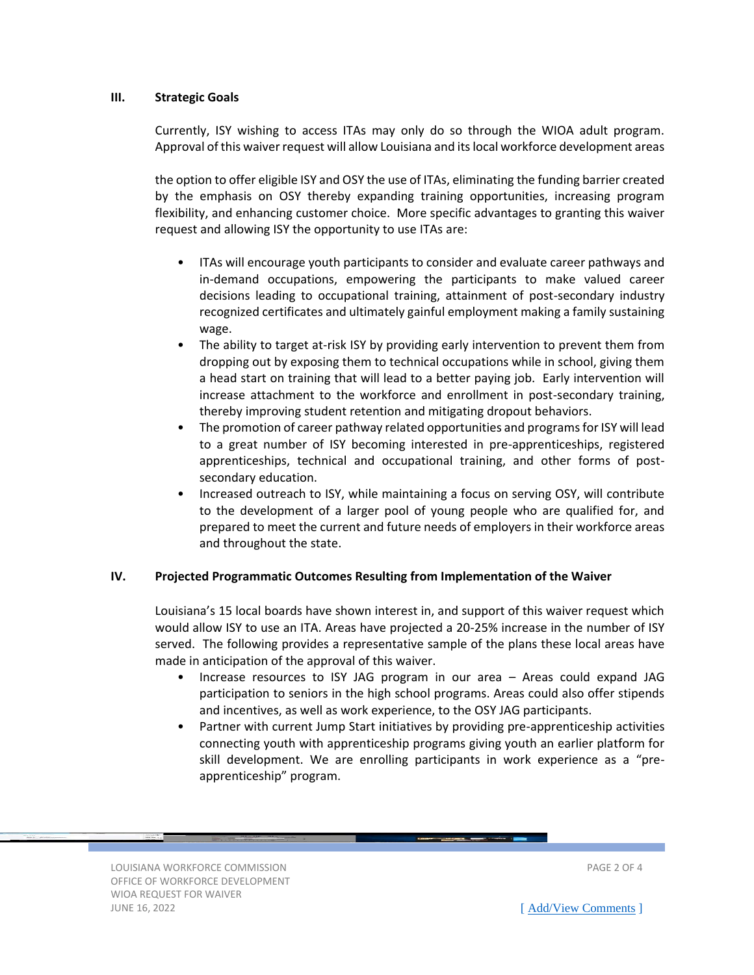### **III. Strategic Goals**

Currently, ISY wishing to access ITAs may only do so through the WIOA adult program. Approval of this waiver request will allow Louisiana and its local workforce development areas

the option to offer eligible ISY and OSY the use of ITAs, eliminating the funding barrier created by the emphasis on OSY thereby expanding training opportunities, increasing program flexibility, and enhancing customer choice. More specific advantages to granting this waiver request and allowing ISY the opportunity to use ITAs are:

- ITAs will encourage youth participants to consider and evaluate career pathways and in-demand occupations, empowering the participants to make valued career decisions leading to occupational training, attainment of post-secondary industry recognized certificates and ultimately gainful employment making a family sustaining wage.
- The ability to target at-risk ISY by providing early intervention to prevent them from dropping out by exposing them to technical occupations while in school, giving them a head start on training that will lead to a better paying job. Early intervention will increase attachment to the workforce and enrollment in post-secondary training, thereby improving student retention and mitigating dropout behaviors.
- The promotion of career pathway related opportunities and programs for ISY will lead to a great number of ISY becoming interested in pre-apprenticeships, registered apprenticeships, technical and occupational training, and other forms of postsecondary education.
- Increased outreach to ISY, while maintaining a focus on serving OSY, will contribute to the development of a larger pool of young people who are qualified for, and prepared to meet the current and future needs of employers in their workforce areas and throughout the state.

## **IV. Projected Programmatic Outcomes Resulting from Implementation of the Waiver**

Louisiana's 15 local boards have shown interest in, and support of this waiver request which would allow ISY to use an ITA. Areas have projected a 20-25% increase in the number of ISY served. The following provides a representative sample of the plans these local areas have made in anticipation of the approval of this waiver.

- Increase resources to ISY JAG program in our area Areas could expand JAG participation to seniors in the high school programs. Areas could also offer stipends and incentives, as well as work experience, to the OSY JAG participants.
- Partner with current Jump Start initiatives by providing pre-apprenticeship activities connecting youth with apprenticeship programs giving youth an earlier platform for skill development. We are enrolling participants in work experience as a "preapprenticeship" program.

LOUISIANA WORKFORCE COMMISSION PAGE 2 OF 4 OFFICE OF WORKFORCE DEVELOPMENT WIOA REQUEST FOR WAIVER JUNE 16, 2022 **[\[ Add/View Comments](https://www2.laworks.net/WIOAComments?Pg=2) ]**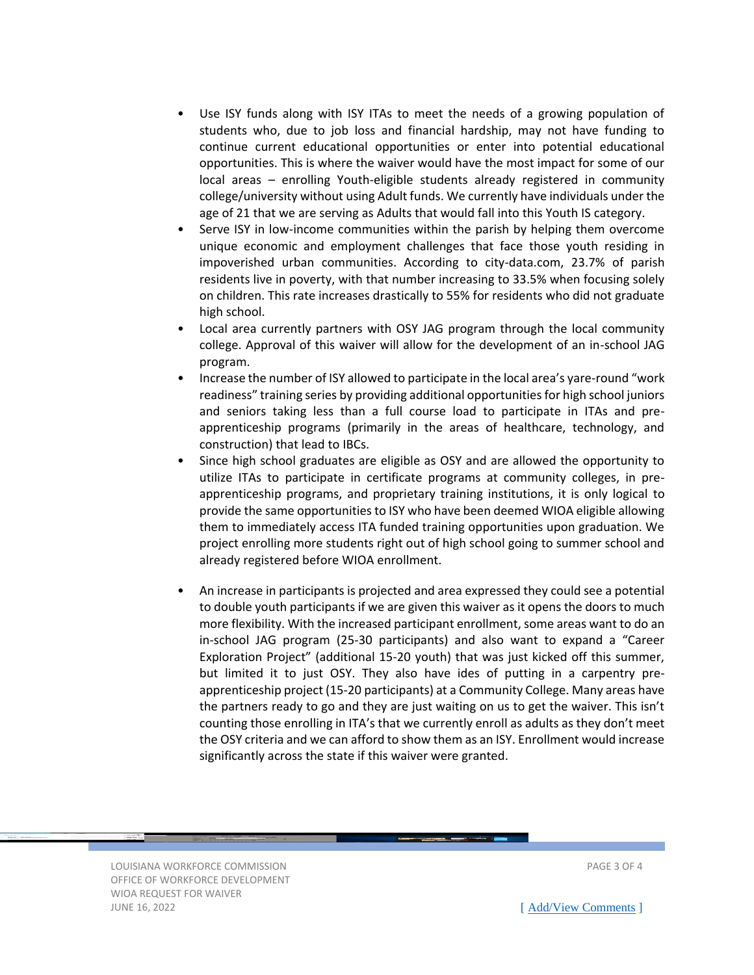- Use ISY funds along with ISY ITAs to meet the needs of a growing population of students who, due to job loss and financial hardship, may not have funding to continue current educational opportunities or enter into potential educational opportunities. This is where the waiver would have the most impact for some of our local areas – enrolling Youth-eligible students already registered in community college/university without using Adult funds. We currently have individuals under the age of 21 that we are serving as Adults that would fall into this Youth IS category.
- Serve ISY in low-income communities within the parish by helping them overcome unique economic and employment challenges that face those youth residing in impoverished urban communities. According to city-data.com, 23.7% of parish residents live in poverty, with that number increasing to 33.5% when focusing solely on children. This rate increases drastically to 55% for residents who did not graduate high school.
- Local area currently partners with OSY JAG program through the local community college. Approval of this waiver will allow for the development of an in-school JAG program.
- Increase the number of ISY allowed to participate in the local area's yare-round "work readiness" training series by providing additional opportunities for high school juniors and seniors taking less than a full course load to participate in ITAs and preapprenticeship programs (primarily in the areas of healthcare, technology, and construction) that lead to IBCs.
- Since high school graduates are eligible as OSY and are allowed the opportunity to utilize ITAs to participate in certificate programs at community colleges, in preapprenticeship programs, and proprietary training institutions, it is only logical to provide the same opportunities to ISY who have been deemed WIOA eligible allowing them to immediately access ITA funded training opportunities upon graduation. We project enrolling more students right out of high school going to summer school and already registered before WIOA enrollment.
- An increase in participants is projected and area expressed they could see a potential to double youth participants if we are given this waiver as it opens the doors to much more flexibility. With the increased participant enrollment, some areas want to do an in-school JAG program (25-30 participants) and also want to expand a "Career Exploration Project" (additional 15-20 youth) that was just kicked off this summer, but limited it to just OSY. They also have ides of putting in a carpentry preapprenticeship project (15-20 participants) at a Community College. Many areas have the partners ready to go and they are just waiting on us to get the waiver. This isn't counting those enrolling in ITA's that we currently enroll as adults as they don't meet the OSY criteria and we can afford to show them as an ISY. Enrollment would increase significantly across the state if this waiver were granted.

LOUISIANA WORKFORCE COMMISSION PAGE 3 OF 4 OFFICE OF WORKFORCE DEVELOPMENT WIOA REQUEST FOR WAIVER JUNE 16, 2022 **[\[ Add/View Comments](https://www2.laworks.net/WIOAComments?Pg=3) ]**